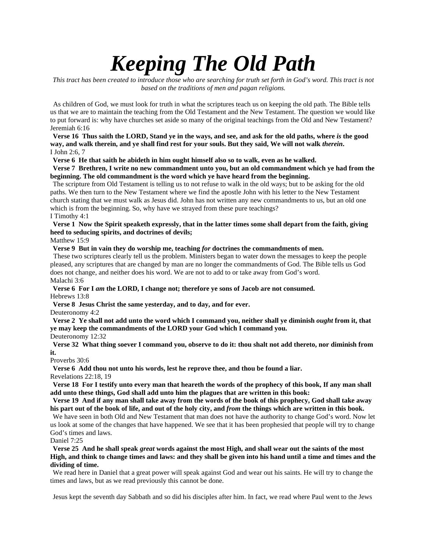# *Keeping The Old Path*

*This tract has been created to introduce those who are searching for truth set forth in God's word. This tract is not based on the traditions of men and pagan religions.* 

As children of God, we must look for truth in what the scriptures teach us on keeping the old path. The Bible tells us that we are to maintain the teaching from the Old Testament and the New Testament. The question we would like to put forward is: why have churches set aside so many of the original teachings from the Old and New Testament? Jeremiah 6:16

**Verse 16 Thus saith the LORD, Stand ye in the ways, and see, and ask for the old paths, where** *is* **the good way, and walk therein, and ye shall find rest for your souls. But they said, We will not walk** *therein***.**  I John 2:6, 7

**Verse 6 He that saith he abideth in him ought himself also so to walk, even as he walked.** 

**Verse 7 Brethren, I write no new commandment unto you, but an old commandment which ye had from the beginning. The old commandment is the word which ye have heard from the beginning.** 

The scripture from Old Testament is telling us to not refuse to walk in the old ways; but to be asking for the old paths. We then turn to the New Testament where we find the apostle John with his letter to the New Testament church stating that we must walk as Jesus did. John has not written any new commandments to us, but an old one which is from the beginning. So, why have we strayed from these pure teachings? I Timothy 4:1

## **Verse 1 Now the Spirit speaketh expressly, that in the latter times some shall depart from the faith, giving heed to seducing spirits, and doctrines of devils;**

Matthew 15:9

**Verse 9 But in vain they do worship me, teaching** *for* **doctrines the commandments of men.** 

These two scriptures clearly tell us the problem. Ministers began to water down the messages to keep the people pleased, any scriptures that are changed by man are no longer the commandments of God. The Bible tells us God does not change, and neither does his word. We are not to add to or take away from God's word. Malachi 3:6

**Verse 6 For I** *am* **the LORD, I change not; therefore ye sons of Jacob are not consumed.**

Hebrews 13:8

**Verse 8 Jesus Christ the same yesterday, and to day, and for ever.** 

Deuteronomy 4:2

**Verse 2 Ye shall not add unto the word which I command you, neither shall ye diminish** *ought* **from it, that ye may keep the commandments of the LORD your God which I command you.** 

Deuteronomy 12:32

**Verse 32 What thing soever I command you, observe to do it: thou shalt not add thereto, nor diminish from it.** 

#### Proverbs 30:6

**Verse 6 Add thou not unto his words, lest he reprove thee, and thou be found a liar.** 

Revelations 22:18, 19

**Verse 18 For I testify unto every man that heareth the words of the prophecy of this book, If any man shall add unto these things, God shall add unto him the plagues that are written in this book:** 

**Verse 19 And if any man shall take away from the words of the book of this prophecy, God shall take away his part out of the book of life, and out of the holy city, and** *from* **the things which are written in this book.** 

We have seen in both Old and New Testament that man does not have the authority to change God's word. Now let us look at some of the changes that have happened. We see that it has been prophesied that people will try to change God's times and laws.

#### Daniel 7:25

**Verse 25 And he shall speak** *great* **words against the most High, and shall wear out the saints of the most High, and think to change times and laws: and they shall be given into his hand until a time and times and the dividing of time.** 

We read here in Daniel that a great power will speak against God and wear out his saints. He will try to change the times and laws, but as we read previously this cannot be done.

Jesus kept the seventh day Sabbath and so did his disciples after him. In fact, we read where Paul went to the Jews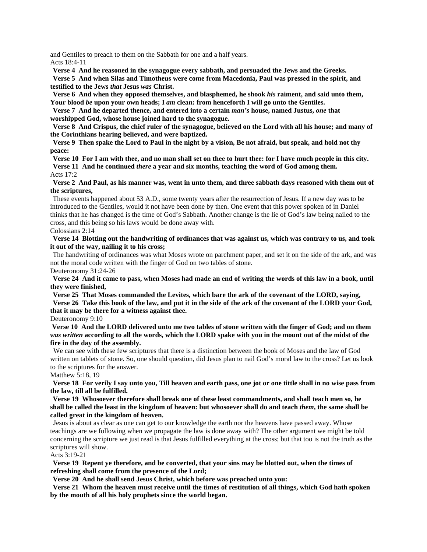and Gentiles to preach to them on the Sabbath for one and a half years.

Acts 18:4-11

**Verse 4 And he reasoned in the synagogue every sabbath, and persuaded the Jews and the Greeks.** 

**Verse 5 And when Silas and Timotheus were come from Macedonia, Paul was pressed in the spirit, and testified to the Jews** *that* **Jesus** *was* **Christ.** 

**Verse 6 And when they opposed themselves, and blasphemed, he shook** *his* **raiment, and said unto them, Your blood** *be* **upon your own heads; I** *am* **clean: from henceforth I will go unto the Gentiles.** 

**Verse 7 And he departed thence, and entered into a certain** *man's* **house, named Justus,** *one* **that worshipped God, whose house joined hard to the synagogue.** 

**Verse 8 And Crispus, the chief ruler of the synagogue, believed on the Lord with all his house; and many of the Corinthians hearing believed, and were baptized.** 

**Verse 9 Then spake the Lord to Paul in the night by a vision, Be not afraid, but speak, and hold not thy peace:** 

**Verse 10 For I am with thee, and no man shall set on thee to hurt thee: for I have much people in this city. Verse 11 And he continued** *there* **a year and six months, teaching the word of God among them.**  Acts 17:2

**Verse 2 And Paul, as his manner was, went in unto them, and three sabbath days reasoned with them out of the scriptures,** 

These events happened about 53 A.D., some twenty years after the resurrection of Jesus. If a new day was to be introduced to the Gentiles, would it not have been done by then. One event that this power spoken of in Daniel thinks that he has changed is the time of God's Sabbath. Another change is the lie of God's law being nailed to the cross, and this being so his laws would be done away with.

### Colossians 2:14

**Verse 14 Blotting out the handwriting of ordinances that was against us, which was contrary to us, and took it out of the way, nailing it to his cross;**

The handwriting of ordinances was what Moses wrote on parchment paper, and set it on the side of the ark, and was not the moral code written with the finger of God on two tables of stone. Deuteronomy 31:24-26

**Verse 24 And it came to pass, when Moses had made an end of writing the words of this law in a book, until they were finished,** 

**Verse 25 That Moses commanded the Levites, which bare the ark of the covenant of the LORD, saying, Verse 26 Take this book of the law, and put it in the side of the ark of the covenant of the LORD your God, that it may be there for a witness against thee.** 

Deuteronomy 9:10

**Verse 10 And the LORD delivered unto me two tables of stone written with the finger of God; and on them** *was written* **according to all the words, which the LORD spake with you in the mount out of the midst of the fire in the day of the assembly.** 

We can see with these few scriptures that there is a distinction between the book of Moses and the law of God written on tablets of stone. So, one should question, did Jesus plan to nail God's moral law to the cross? Let us look to the scriptures for the answer.

#### Matthew 5:18, 19

**Verse 18 For verily I say unto you, Till heaven and earth pass, one jot or one tittle shall in no wise pass from the law, till all be fulfilled.** 

**Verse 19 Whosoever therefore shall break one of these least commandments, and shall teach men so, he shall be called the least in the kingdom of heaven: but whosoever shall do and teach** *them***, the same shall be called great in the kingdom of heaven.** 

Jesus is about as clear as one can get to our knowledge the earth nor the heavens have passed away. Whose teachings are we following when we propagate the law is done away with? The other argument we might be told concerning the scripture we just read is that Jesus fulfilled everything at the cross; but that too is not the truth as the scriptures will show.

#### Acts 3:19-21

**Verse 19 Repent ye therefore, and be converted, that your sins may be blotted out, when the times of refreshing shall come from the presence of the Lord;**

**Verse 20 And he shall send Jesus Christ, which before was preached unto you:** 

**Verse 21 Whom the heaven must receive until the times of restitution of all things, which God hath spoken by the mouth of all his holy prophets since the world began.**